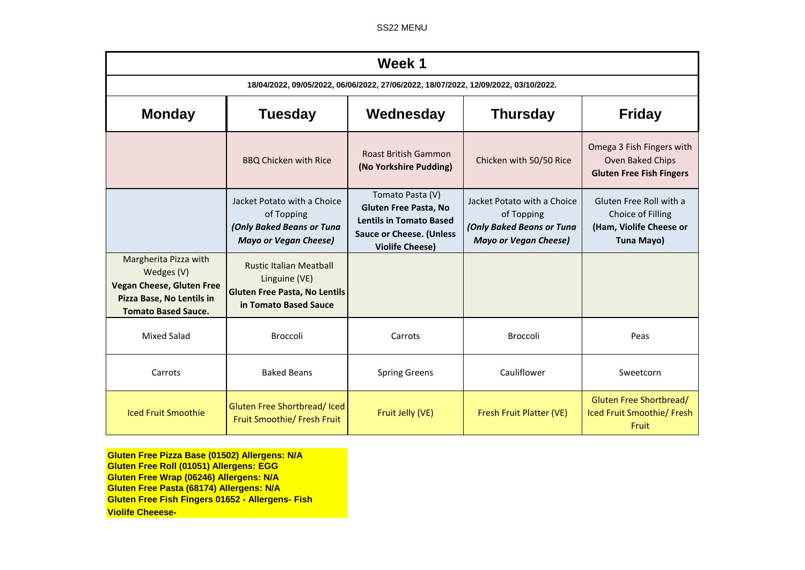SS22 MENU

| Week 1                                                                                                                             |                                                                                                                  |                                                                                                                                          |                                                                                                        |                                                                                       |  |  |  |
|------------------------------------------------------------------------------------------------------------------------------------|------------------------------------------------------------------------------------------------------------------|------------------------------------------------------------------------------------------------------------------------------------------|--------------------------------------------------------------------------------------------------------|---------------------------------------------------------------------------------------|--|--|--|
| 18/04/2022, 09/05/2022, 06/06/2022, 27/06/2022, 18/07/2022, 12/09/2022, 03/10/2022.                                                |                                                                                                                  |                                                                                                                                          |                                                                                                        |                                                                                       |  |  |  |
| <b>Monday</b>                                                                                                                      | <b>Tuesday</b>                                                                                                   | Wednesday                                                                                                                                | <b>Thursday</b>                                                                                        | <b>Friday</b>                                                                         |  |  |  |
|                                                                                                                                    | <b>BBQ Chicken with Rice</b>                                                                                     | <b>Roast British Gammon</b><br>(No Yorkshire Pudding)                                                                                    | Chicken with 50/50 Rice                                                                                | Omega 3 Fish Fingers with<br>Oven Baked Chips<br><b>Gluten Free Fish Fingers</b>      |  |  |  |
|                                                                                                                                    | Jacket Potato with a Choice<br>of Topping<br>(Only Baked Beans or Tuna<br><b>Mayo or Vegan Cheese)</b>           | Tomato Pasta (V)<br>Gluten Free Pasta, No<br><b>Lentils in Tomato Based</b><br><b>Sauce or Cheese. (Unless</b><br><b>Violife Cheese)</b> | Jacket Potato with a Choice<br>of Topping<br>(Only Baked Beans or Tuna<br><b>Mayo or Vegan Cheese)</b> | Gluten Free Roll with a<br>Choice of Filling<br>(Ham, Violife Cheese or<br>Tuna Mayo) |  |  |  |
| Margherita Pizza with<br>Wedges (V)<br><b>Vegan Cheese, Gluten Free</b><br>Pizza Base, No Lentils in<br><b>Tomato Based Sauce.</b> | <b>Rustic Italian Meatball</b><br>Linguine (VE)<br><b>Gluten Free Pasta, No Lentils</b><br>in Tomato Based Sauce |                                                                                                                                          |                                                                                                        |                                                                                       |  |  |  |
| <b>Mixed Salad</b>                                                                                                                 | <b>Broccoli</b>                                                                                                  | Carrots                                                                                                                                  | <b>Broccoli</b>                                                                                        | Peas                                                                                  |  |  |  |
| Carrots                                                                                                                            | <b>Baked Beans</b>                                                                                               | <b>Spring Greens</b>                                                                                                                     | Cauliflower                                                                                            | Sweetcorn                                                                             |  |  |  |
| <b>Iced Fruit Smoothie</b>                                                                                                         | Gluten Free Shortbread/Iced<br>Fruit Smoothie/ Fresh Fruit                                                       | Fruit Jelly (VE)                                                                                                                         | Fresh Fruit Platter (VE)                                                                               | Gluten Free Shortbread/<br>Iced Fruit Smoothie/ Fresh<br>Fruit                        |  |  |  |

**Gluten Free Pizza Base (01502) Allergens: N/A Gluten Free Roll (01051) Allergens: EGG Gluten Free Wrap (06246) Allergens: N/A Gluten Free Pasta (68174) Allergens: N/A Gluten Free Fish Fingers 01652 - Allergens- Fish Violife Cheeese-**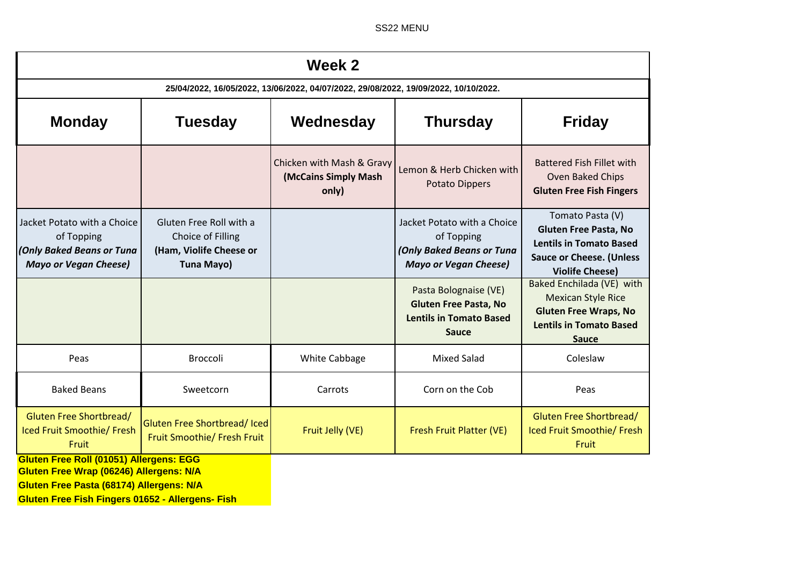SS22 MENU

| Week 2                                                                                                 |                                                                                       |                                                            |                                                                                                         |                                                                                                                                                 |  |  |  |
|--------------------------------------------------------------------------------------------------------|---------------------------------------------------------------------------------------|------------------------------------------------------------|---------------------------------------------------------------------------------------------------------|-------------------------------------------------------------------------------------------------------------------------------------------------|--|--|--|
| 25/04/2022, 16/05/2022, 13/06/2022, 04/07/2022, 29/08/2022, 19/09/2022, 10/10/2022.                    |                                                                                       |                                                            |                                                                                                         |                                                                                                                                                 |  |  |  |
| <b>Monday</b>                                                                                          | <b>Tuesday</b>                                                                        | Wednesday                                                  | <b>Thursday</b>                                                                                         | <b>Friday</b>                                                                                                                                   |  |  |  |
|                                                                                                        |                                                                                       | Chicken with Mash & Gravy<br>(McCains Simply Mash<br>only) | Lemon & Herb Chicken with<br>Potato Dippers                                                             | <b>Battered Fish Fillet with</b><br>Oven Baked Chips<br><b>Gluten Free Fish Fingers</b>                                                         |  |  |  |
| Jacket Potato with a Choice<br>of Topping<br>(Only Baked Beans or Tuna<br><b>Mayo or Vegan Cheese)</b> | Gluten Free Roll with a<br>Choice of Filling<br>(Ham, Violife Cheese or<br>Tuna Mayo) |                                                            | Jacket Potato with a Choice<br>of Topping<br>(Only Baked Beans or Tuna<br><b>Mayo or Vegan Cheese)</b>  | Tomato Pasta (V)<br><b>Gluten Free Pasta, No</b><br><b>Lentils in Tomato Based</b><br><b>Sauce or Cheese. (Unless</b><br><b>Violife Cheese)</b> |  |  |  |
|                                                                                                        |                                                                                       |                                                            | Pasta Bolognaise (VE)<br><b>Gluten Free Pasta, No</b><br><b>Lentils in Tomato Based</b><br><b>Sauce</b> | Baked Enchilada (VE) with<br><b>Mexican Style Rice</b><br><b>Gluten Free Wraps, No</b><br><b>Lentils in Tomato Based</b><br><b>Sauce</b>        |  |  |  |
| Peas                                                                                                   | <b>Broccoli</b>                                                                       | White Cabbage                                              | <b>Mixed Salad</b>                                                                                      | Coleslaw                                                                                                                                        |  |  |  |
| <b>Baked Beans</b>                                                                                     | Sweetcorn                                                                             | Carrots                                                    | Corn on the Cob                                                                                         | Peas                                                                                                                                            |  |  |  |
| <b>Gluten Free Shortbread/</b><br>Iced Fruit Smoothie/ Fresh<br>Fruit                                  | Gluten Free Shortbread/Iced<br>Fruit Smoothie/ Fresh Fruit                            | Fruit Jelly (VE)                                           | Fresh Fruit Platter (VE)                                                                                | <b>Gluten Free Shortbread/</b><br>Iced Fruit Smoothie/ Fresh<br>Fruit                                                                           |  |  |  |
| <b>Gluten Free Roll (01051) Allergens: EGG</b><br>Gluten Free Wrap (06246) Allergens: N/A              |                                                                                       |                                                            |                                                                                                         |                                                                                                                                                 |  |  |  |

**Gluten Free Pasta (68174) Allergens: N/A**

**Gluten Free Fish Fingers 01652 - Allergens- Fish**